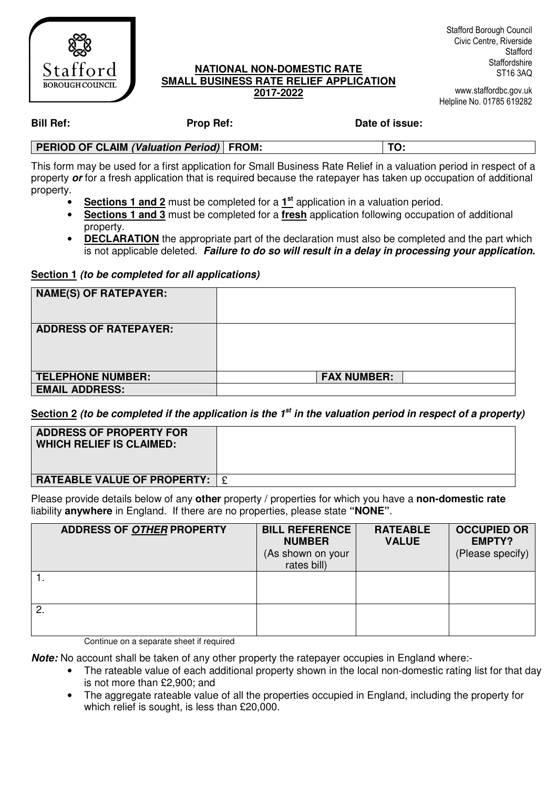

### **NATIONAL NON-DOMESTIC RATE SMALL BUSINESS RATE RELIEF APPLICATION 2017-2022**

www.staffordbc.gov.uk Helpline No. 01785 619282

**Bill Ref: Prop Ref: Date of issue:** 

| <b>PERIOD OF CLAIM (Valuation Period) FROM:</b> |  |
|-------------------------------------------------|--|
|                                                 |  |

This form may be used for a first application for Small Business Rate Relief in a valuation period in respect of a property **or** for a fresh application that is required because the ratepayer has taken up occupation of additional property.

- **Sections 1 and 2** must be completed for a  $1^{st}$  application in a valuation period.
- **Sections 1 and 3** must be completed for a **fresh** application following occupation of additional property.
- **DECLARATION** the appropriate part of the declaration must also be completed and the part which is not applicable deleted. **Failure to do so will result in a delay in processing your application.**

**Section 1 (to be completed for all applications)** 

| <b>NAME(S) OF RATEPAYER:</b> |                    |
|------------------------------|--------------------|
| <b>ADDRESS OF RATEPAYER:</b> |                    |
| <b>TELEPHONE NUMBER:</b>     | <b>FAX NUMBER:</b> |
| <b>EMAIL ADDRESS:</b>        |                    |

**Section 2 (to be completed if the application is the 1st in the valuation period in respect of a property)** 

| <b>ADDRESS OF PROPERTY FOR</b><br><b>WHICH RELIEF IS CLAIMED:</b> |  |
|-------------------------------------------------------------------|--|
| <b>RATEABLE VALUE OF PROPERTY:</b>                                |  |

Please provide details below of any **other** property / properties for which you have a **non-domestic rate**  liability **anywhere** in England. If there are no properties, please state **"NONE"**.

| <b>ADDRESS OF OTHER PROPERTY</b> | <b>BILL REFERENCE</b><br><b>NUMBER</b><br>(As shown on your<br>rates bill) | <b>RATEABLE</b><br><b>VALUE</b> | <b>OCCUPIED OR</b><br><b>EMPTY?</b><br>(Please specify) |
|----------------------------------|----------------------------------------------------------------------------|---------------------------------|---------------------------------------------------------|
|                                  |                                                                            |                                 |                                                         |
| $\mathbf{2}$                     |                                                                            |                                 |                                                         |

Continue on a separate sheet if required

**Note:** No account shall be taken of any other property the ratepayer occupies in England where:-

- The rateable value of each additional property shown in the local non-domestic rating list for that day is not more than £2,900; and
- The aggregate rateable value of all the properties occupied in England, including the property for which relief is sought, is less than £20,000.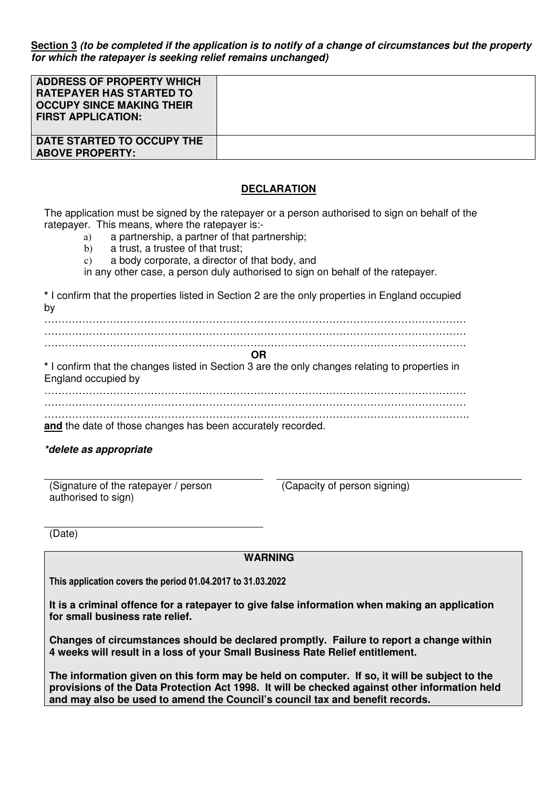**Section 3 (to be completed if the application is to notify of a change of circumstances but the property for which the ratepayer is seeking relief remains unchanged)** 

| <b>ADDRESS OF PROPERTY WHICH</b><br><b>RATEPAYER HAS STARTED TO</b><br><b>OCCUPY SINCE MAKING THEIR</b><br><b>FIRST APPLICATION:</b> |  |
|--------------------------------------------------------------------------------------------------------------------------------------|--|
| DATE STARTED TO OCCUPY THE<br><b>ABOVE PROPERTY:</b>                                                                                 |  |

### **DECLARATION**

The application must be signed by the ratepayer or a person authorised to sign on behalf of the ratepayer. This means, where the ratepayer is:-

- a) a partnership, a partner of that partnership;
- b) a trust, a trustee of that trust;
- c) a body corporate, a director of that body, and
- in any other case, a person duly authorised to sign on behalf of the ratepayer.

**\*** I confirm that the properties listed in Section 2 are the only properties in England occupied by

…………………………………………………………………………………………………………… …………………………………………………………………………………………………………… …………………………………………………………………………………………………………… **OR \*** I confirm that the changes listed in Section 3 are the only changes relating to properties in England occupied by …………………………………………………………………………………………………………… . The contract of the contract of the contract of the contract of the contract of the contract of the contract of the contract of the contract of the contract of the contract of the contract of the contract of the contrac ……………………………………………………………………………………………………………. **and** the date of those changes has been accurately recorded.

#### **\*delete as appropriate**

(Signature of the ratepayer / person authorised to sign)

(Capacity of person signing)

(Date)

 **WARNING**

This application covers the period 01.04.2017 to 31.03.2022

**It is a criminal offence for a ratepayer to give false information when making an application for small business rate relief.** 

**Changes of circumstances should be declared promptly. Failure to report a change within 4 weeks will result in a loss of your Small Business Rate Relief entitlement.** 

**The information given on this form may be held on computer. If so, it will be subject to the provisions of the Data Protection Act 1998. It will be checked against other information held and may also be used to amend the Council's council tax and benefit records.**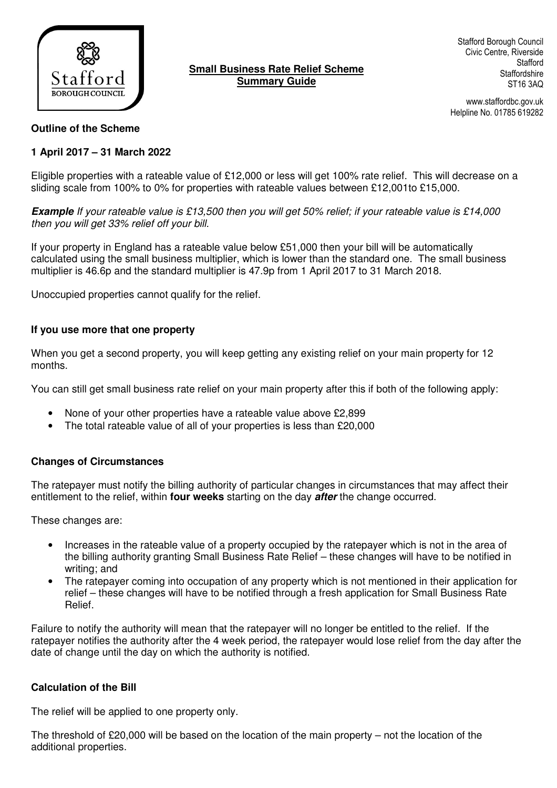

# **Small Business Rate Relief Scheme Summary Guide**

Stafford Borough Council Civic Centre, Riverside **Stafford Staffordshire** ST16 3AQ

www.staffordbc.gov.uk Helpline No. 01785 619282

## **Outline of the Scheme**

# **1 April 2017 – 31 March 2022**

Eligible properties with a rateable value of £12,000 or less will get 100% rate relief. This will decrease on a sliding scale from 100% to 0% for properties with rateable values between £12,001to £15,000.

**Example** If your rateable value is £13,500 then you will get 50% relief; if your rateable value is £14,000 then you will get 33% relief off your bill.

If your property in England has a rateable value below £51,000 then your bill will be automatically calculated using the small business multiplier, which is lower than the standard one. The small business multiplier is 46.6p and the standard multiplier is 47.9p from 1 April 2017 to 31 March 2018.

Unoccupied properties cannot qualify for the relief.

## **If you use more that one property**

When you get a second property, you will keep getting any existing relief on your main property for 12 months.

You can still get small business rate relief on your main property after this if both of the following apply:

- None of your other properties have a rateable value above £2,899
- The total rateable value of all of your properties is less than £20,000

# **Changes of Circumstances**

The ratepayer must notify the billing authority of particular changes in circumstances that may affect their entitlement to the relief, within **four weeks** starting on the day **after** the change occurred.

These changes are:

- Increases in the rateable value of a property occupied by the ratepayer which is not in the area of the billing authority granting Small Business Rate Relief – these changes will have to be notified in writing; and
- The ratepayer coming into occupation of any property which is not mentioned in their application for relief – these changes will have to be notified through a fresh application for Small Business Rate Relief.

Failure to notify the authority will mean that the ratepayer will no longer be entitled to the relief. If the ratepayer notifies the authority after the 4 week period, the ratepayer would lose relief from the day after the date of change until the day on which the authority is notified.

# **Calculation of the Bill**

The relief will be applied to one property only.

The threshold of £20,000 will be based on the location of the main property – not the location of the additional properties.